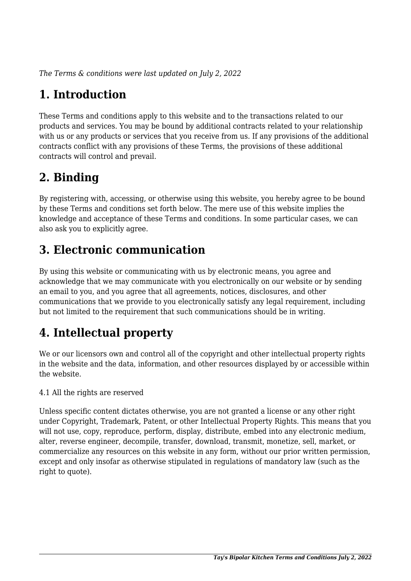*The Terms & conditions were last updated on July 2, 2022*

## **1. Introduction**

These Terms and conditions apply to this website and to the transactions related to our products and services. You may be bound by additional contracts related to your relationship with us or any products or services that you receive from us. If any provisions of the additional contracts conflict with any provisions of these Terms, the provisions of these additional contracts will control and prevail.

## **2. Binding**

By registering with, accessing, or otherwise using this website, you hereby agree to be bound by these Terms and conditions set forth below. The mere use of this website implies the knowledge and acceptance of these Terms and conditions. In some particular cases, we can also ask you to explicitly agree.

## **3. Electronic communication**

By using this website or communicating with us by electronic means, you agree and acknowledge that we may communicate with you electronically on our website or by sending an email to you, and you agree that all agreements, notices, disclosures, and other communications that we provide to you electronically satisfy any legal requirement, including but not limited to the requirement that such communications should be in writing.

# **4. Intellectual property**

We or our licensors own and control all of the copyright and other intellectual property rights in the website and the data, information, and other resources displayed by or accessible within the website.

4.1 All the rights are reserved

Unless specific content dictates otherwise, you are not granted a license or any other right under Copyright, Trademark, Patent, or other Intellectual Property Rights. This means that you will not use, copy, reproduce, perform, display, distribute, embed into any electronic medium, alter, reverse engineer, decompile, transfer, download, transmit, monetize, sell, market, or commercialize any resources on this website in any form, without our prior written permission, except and only insofar as otherwise stipulated in regulations of mandatory law (such as the right to quote).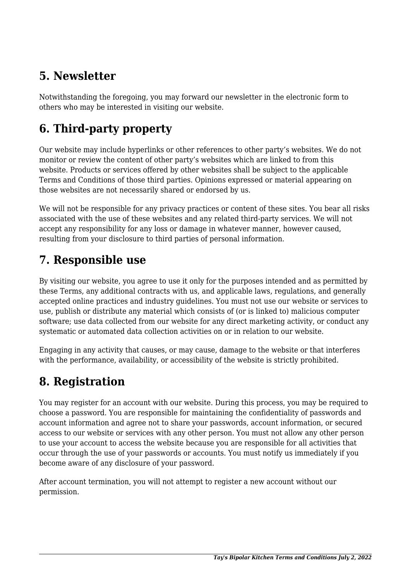## **5. Newsletter**

Notwithstanding the foregoing, you may forward our newsletter in the electronic form to others who may be interested in visiting our website.

# **6. Third-party property**

Our website may include hyperlinks or other references to other party's websites. We do not monitor or review the content of other party's websites which are linked to from this website. Products or services offered by other websites shall be subject to the applicable Terms and Conditions of those third parties. Opinions expressed or material appearing on those websites are not necessarily shared or endorsed by us.

We will not be responsible for any privacy practices or content of these sites. You bear all risks associated with the use of these websites and any related third-party services. We will not accept any responsibility for any loss or damage in whatever manner, however caused, resulting from your disclosure to third parties of personal information.

### **7. Responsible use**

By visiting our website, you agree to use it only for the purposes intended and as permitted by these Terms, any additional contracts with us, and applicable laws, regulations, and generally accepted online practices and industry guidelines. You must not use our website or services to use, publish or distribute any material which consists of (or is linked to) malicious computer software; use data collected from our website for any direct marketing activity, or conduct any systematic or automated data collection activities on or in relation to our website.

Engaging in any activity that causes, or may cause, damage to the website or that interferes with the performance, availability, or accessibility of the website is strictly prohibited.

## **8. Registration**

You may register for an account with our website. During this process, you may be required to choose a password. You are responsible for maintaining the confidentiality of passwords and account information and agree not to share your passwords, account information, or secured access to our website or services with any other person. You must not allow any other person to use your account to access the website because you are responsible for all activities that occur through the use of your passwords or accounts. You must notify us immediately if you become aware of any disclosure of your password.

After account termination, you will not attempt to register a new account without our permission.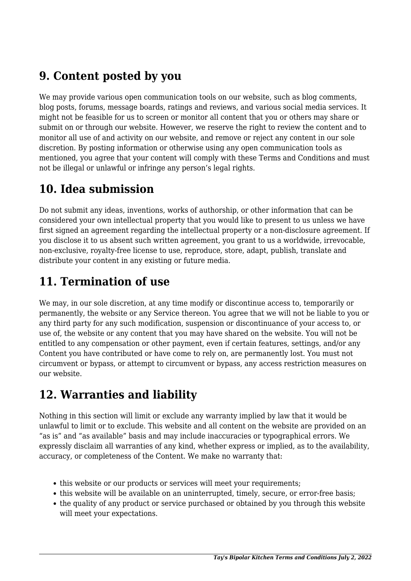## **9. Content posted by you**

We may provide various open communication tools on our website, such as blog comments, blog posts, forums, message boards, ratings and reviews, and various social media services. It might not be feasible for us to screen or monitor all content that you or others may share or submit on or through our website. However, we reserve the right to review the content and to monitor all use of and activity on our website, and remove or reject any content in our sole discretion. By posting information or otherwise using any open communication tools as mentioned, you agree that your content will comply with these Terms and Conditions and must not be illegal or unlawful or infringe any person's legal rights.

## **10. Idea submission**

Do not submit any ideas, inventions, works of authorship, or other information that can be considered your own intellectual property that you would like to present to us unless we have first signed an agreement regarding the intellectual property or a non-disclosure agreement. If you disclose it to us absent such written agreement, you grant to us a worldwide, irrevocable, non-exclusive, royalty-free license to use, reproduce, store, adapt, publish, translate and distribute your content in any existing or future media.

## **11. Termination of use**

We may, in our sole discretion, at any time modify or discontinue access to, temporarily or permanently, the website or any Service thereon. You agree that we will not be liable to you or any third party for any such modification, suspension or discontinuance of your access to, or use of, the website or any content that you may have shared on the website. You will not be entitled to any compensation or other payment, even if certain features, settings, and/or any Content you have contributed or have come to rely on, are permanently lost. You must not circumvent or bypass, or attempt to circumvent or bypass, any access restriction measures on our website.

### **12. Warranties and liability**

Nothing in this section will limit or exclude any warranty implied by law that it would be unlawful to limit or to exclude. This website and all content on the website are provided on an "as is" and "as available" basis and may include inaccuracies or typographical errors. We expressly disclaim all warranties of any kind, whether express or implied, as to the availability, accuracy, or completeness of the Content. We make no warranty that:

- this website or our products or services will meet your requirements;
- this website will be available on an uninterrupted, timely, secure, or error-free basis;
- the quality of any product or service purchased or obtained by you through this website will meet your expectations.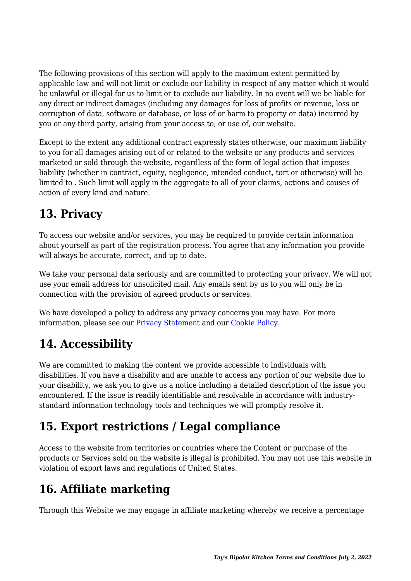The following provisions of this section will apply to the maximum extent permitted by applicable law and will not limit or exclude our liability in respect of any matter which it would be unlawful or illegal for us to limit or to exclude our liability. In no event will we be liable for any direct or indirect damages (including any damages for loss of profits or revenue, loss or corruption of data, software or database, or loss of or harm to property or data) incurred by you or any third party, arising from your access to, or use of, our website.

Except to the extent any additional contract expressly states otherwise, our maximum liability to you for all damages arising out of or related to the website or any products and services marketed or sold through the website, regardless of the form of legal action that imposes liability (whether in contract, equity, negligence, intended conduct, tort or otherwise) will be limited to . Such limit will apply in the aggregate to all of your claims, actions and causes of action of every kind and nature.

## **13. Privacy**

To access our website and/or services, you may be required to provide certain information about yourself as part of the registration process. You agree that any information you provide will always be accurate, correct, and up to date.

We take your personal data seriously and are committed to protecting your privacy. We will not use your email address for unsolicited mail. Any emails sent by us to you will only be in connection with the provision of agreed products or services.

We have developed a policy to address any privacy concerns you may have. For more information, please see our [Privacy Statement](https://taysbipolarkitchen.com/legal-stuff/privacy-statement-us/) and our [Cookie Policy](https://taysbipolarkitchen.com/legal-stuff/cookie-policy-us/).

## **14. Accessibility**

We are committed to making the content we provide accessible to individuals with disabilities. If you have a disability and are unable to access any portion of our website due to your disability, we ask you to give us a notice including a detailed description of the issue you encountered. If the issue is readily identifiable and resolvable in accordance with industrystandard information technology tools and techniques we will promptly resolve it.

# **15. Export restrictions / Legal compliance**

Access to the website from territories or countries where the Content or purchase of the products or Services sold on the website is illegal is prohibited. You may not use this website in violation of export laws and regulations of United States.

### **16. Affiliate marketing**

Through this Website we may engage in affiliate marketing whereby we receive a percentage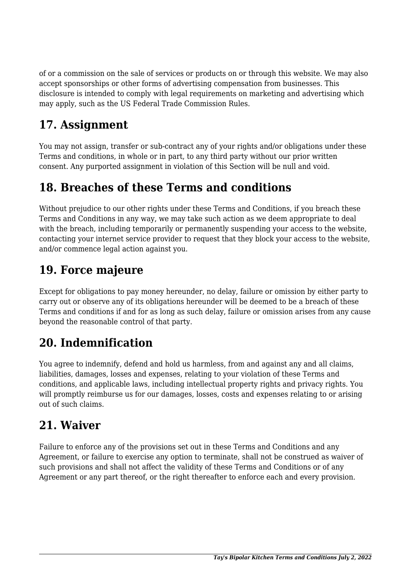of or a commission on the sale of services or products on or through this website. We may also accept sponsorships or other forms of advertising compensation from businesses. This disclosure is intended to comply with legal requirements on marketing and advertising which may apply, such as the US Federal Trade Commission Rules.

## **17. Assignment**

You may not assign, transfer or sub-contract any of your rights and/or obligations under these Terms and conditions, in whole or in part, to any third party without our prior written consent. Any purported assignment in violation of this Section will be null and void.

#### **18. Breaches of these Terms and conditions**

Without prejudice to our other rights under these Terms and Conditions, if you breach these Terms and Conditions in any way, we may take such action as we deem appropriate to deal with the breach, including temporarily or permanently suspending your access to the website, contacting your internet service provider to request that they block your access to the website, and/or commence legal action against you.

#### **19. Force majeure**

Except for obligations to pay money hereunder, no delay, failure or omission by either party to carry out or observe any of its obligations hereunder will be deemed to be a breach of these Terms and conditions if and for as long as such delay, failure or omission arises from any cause beyond the reasonable control of that party.

### **20. Indemnification**

You agree to indemnify, defend and hold us harmless, from and against any and all claims, liabilities, damages, losses and expenses, relating to your violation of these Terms and conditions, and applicable laws, including intellectual property rights and privacy rights. You will promptly reimburse us for our damages, losses, costs and expenses relating to or arising out of such claims.

### **21. Waiver**

Failure to enforce any of the provisions set out in these Terms and Conditions and any Agreement, or failure to exercise any option to terminate, shall not be construed as waiver of such provisions and shall not affect the validity of these Terms and Conditions or of any Agreement or any part thereof, or the right thereafter to enforce each and every provision.